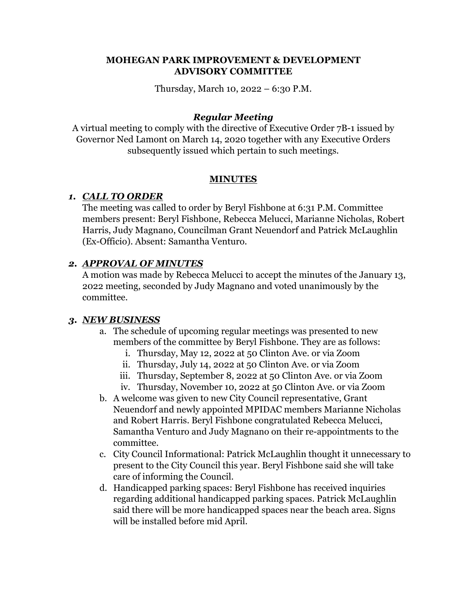### **MOHEGAN PARK IMPROVEMENT & DEVELOPMENT ADVISORY COMMITTEE**

Thursday, March 10, 2022 – 6:30 P.M.

### *Regular Meeting*

A virtual meeting to comply with the directive of Executive Order 7B-1 issued by Governor Ned Lamont on March 14, 2020 together with any Executive Orders subsequently issued which pertain to such meetings.

### **MINUTES**

## *1. CALL TO ORDER*

The meeting was called to order by Beryl Fishbone at 6:31 P.M. Committee members present: Beryl Fishbone, Rebecca Melucci, Marianne Nicholas, Robert Harris, Judy Magnano, Councilman Grant Neuendorf and Patrick McLaughlin (Ex-Officio). Absent: Samantha Venturo.

## *2. APPROVAL OF MINUTES*

A motion was made by Rebecca Melucci to accept the minutes of the January 13, 2022 meeting, seconded by Judy Magnano and voted unanimously by the committee.

### *3. NEW BUSINESS*

- a. The schedule of upcoming regular meetings was presented to new members of the committee by Beryl Fishbone. They are as follows:
	- i. Thursday, May 12, 2022 at 50 Clinton Ave. or via Zoom
	- ii. Thursday, July 14, 2022 at 50 Clinton Ave. or via Zoom
	- iii. Thursday, September 8, 2022 at 50 Clinton Ave. or via Zoom
	- iv. Thursday, November 10, 2022 at 50 Clinton Ave. or via Zoom
- b. A welcome was given to new City Council representative, Grant Neuendorf and newly appointed MPIDAC members Marianne Nicholas and Robert Harris. Beryl Fishbone congratulated Rebecca Melucci, Samantha Venturo and Judy Magnano on their re-appointments to the committee.
- c. City Council Informational: Patrick McLaughlin thought it unnecessary to present to the City Council this year. Beryl Fishbone said she will take care of informing the Council.
- d. Handicapped parking spaces: Beryl Fishbone has received inquiries regarding additional handicapped parking spaces. Patrick McLaughlin said there will be more handicapped spaces near the beach area. Signs will be installed before mid April.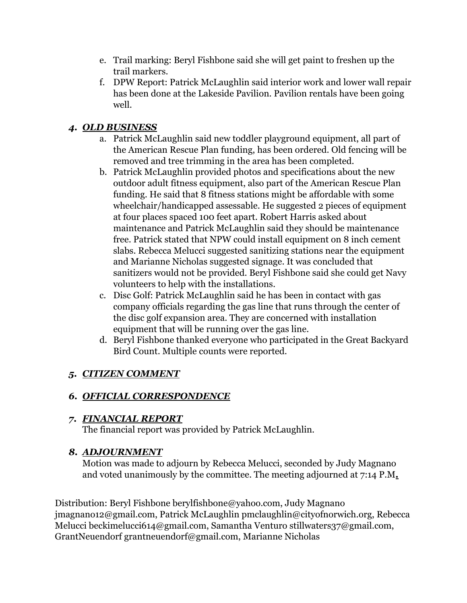- e. Trail marking: Beryl Fishbone said she will get paint to freshen up the trail markers.
- f. DPW Report: Patrick McLaughlin said interior work and lower wall repair has been done at the Lakeside Pavilion. Pavilion rentals have been going well.

## *4. OLD BUSINESS*

- a. Patrick McLaughlin said new toddler playground equipment, all part of the American Rescue Plan funding, has been ordered. Old fencing will be removed and tree trimming in the area has been completed.
- b. Patrick McLaughlin provided photos and specifications about the new outdoor adult fitness equipment, also part of the American Rescue Plan funding. He said that 8 fitness stations might be affordable with some wheelchair/handicapped assessable. He suggested 2 pieces of equipment at four places spaced 100 feet apart. Robert Harris asked about maintenance and Patrick McLaughlin said they should be maintenance free. Patrick stated that NPW could install equipment on 8 inch cement slabs. Rebecca Melucci suggested sanitizing stations near the equipment and Marianne Nicholas suggested signage. It was concluded that sanitizers would not be provided. Beryl Fishbone said she could get Navy volunteers to help with the installations.
- c. Disc Golf: Patrick McLaughlin said he has been in contact with gas company officials regarding the gas line that runs through the center of the disc golf expansion area. They are concerned with installation equipment that will be running over the gas line.
- d. Beryl Fishbone thanked everyone who participated in the Great Backyard Bird Count. Multiple counts were reported.

# *5. CITIZEN COMMENT*

# *6. OFFICIAL CORRESPONDENCE*

# *7. FINANCIAL REPORT*

The financial report was provided by Patrick McLaughlin.

# *8. ADJOURNMENT*

Motion was made to adjourn by Rebecca Melucci, seconded by Judy Magnano and voted unanimously by the committee. The meeting adjourned at 7:14 P.M*.* 

Distribution: Beryl Fishbone berylfishbone@yahoo.com, Judy Magnano jmagnano12@gmail.com, Patrick McLaughlin pmclaughlin@cityofnorwich.org, Rebecca Melucci beckimelucci614@gmail.com, Samantha Venturo stillwaters37@gmail.com, GrantNeuendorf grantneuendorf@gmail.com, Marianne Nicholas